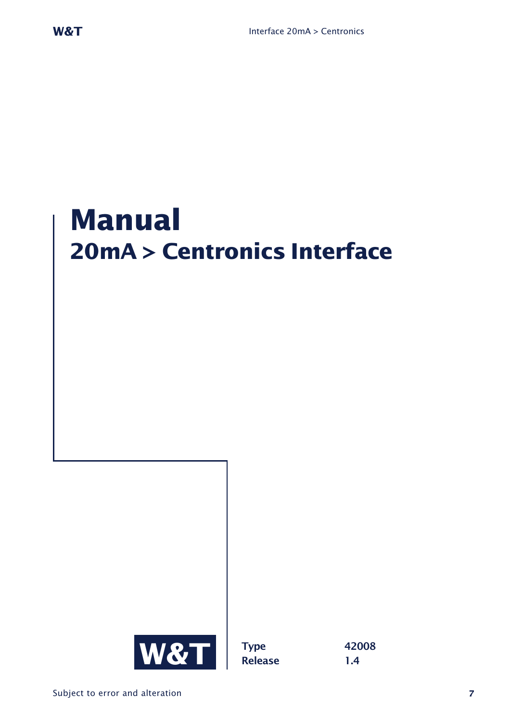# **Manual 20mA > Centronics Interface**

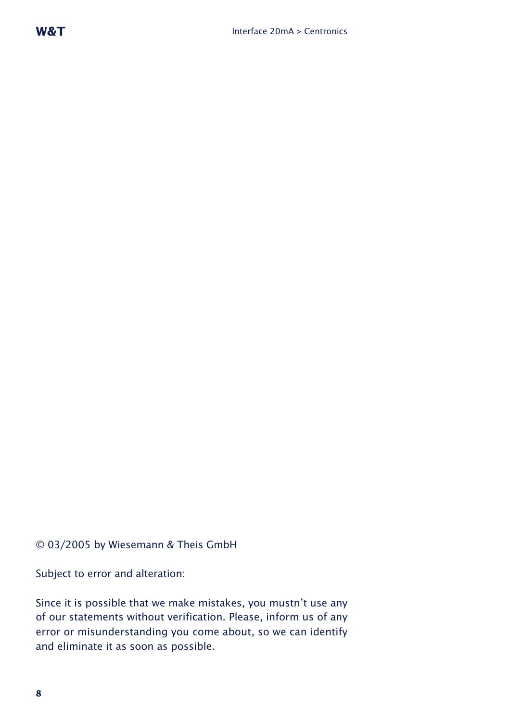#### © 03/2005 by Wiesemann & Theis GmbH

Subject to error and alteration:

Since it is possible that we make mistakes, you mustn't use any of our statements without verification. Please, inform us of any error or misunderstanding you come about, so we can identify and eliminate it as soon as possible.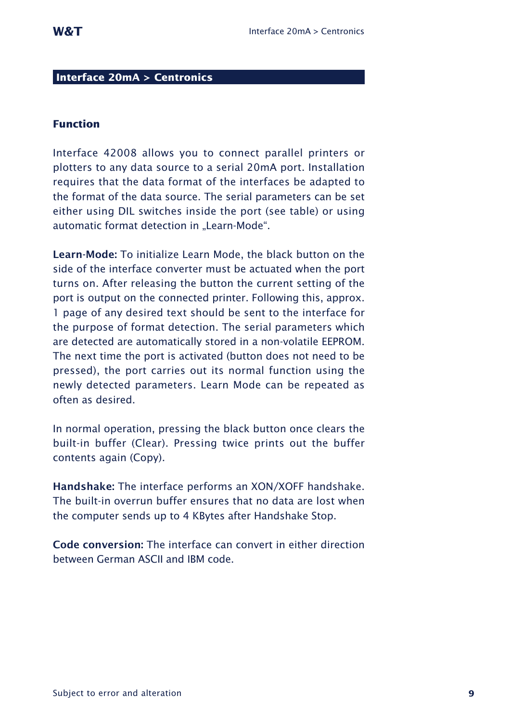#### **Interface 20mA > Centronics**

#### **Function**

Interface 42008 allows you to connect parallel printers or plotters to any data source to a serial 20mA port. Installation requires that the data format of the interfaces be adapted to the format of the data source. The serial parameters can be set either using DIL switches inside the port (see table) or using automatic format detection in "Learn-Mode".

**Learn-Mode:** To initialize Learn Mode, the black button on the side of the interface converter must be actuated when the port turns on. After releasing the button the current setting of the port is output on the connected printer. Following this, approx. 1 page of any desired text should be sent to the interface for the purpose of format detection. The serial parameters which are detected are automatically stored in a non-volatile EEPROM. The next time the port is activated (button does not need to be pressed), the port carries out its normal function using the newly detected parameters. Learn Mode can be repeated as often as desired.

In normal operation, pressing the black button once clears the built-in buffer (Clear). Pressing twice prints out the buffer contents again (Copy).

**Handshake:** The interface performs an XON/XOFF handshake. The built-in overrun buffer ensures that no data are lost when the computer sends up to 4 KBytes after Handshake Stop.

**Code conversion:** The interface can convert in either direction between German ASCII and IBM code.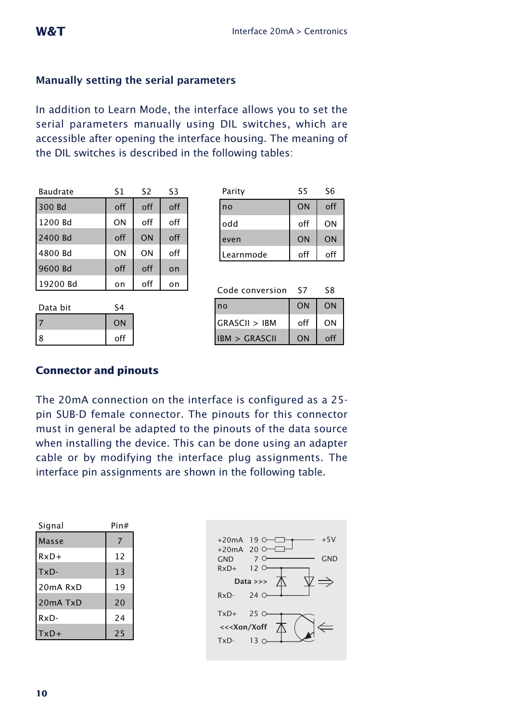## **Manually setting the serial parameters**

In addition to Learn Mode, the interface allows you to set the serial parameters manually using DIL switches, which are accessible after opening the interface housing. The meaning of the DIL switches is described in the following tables:

| Baudrate | S1  | S <sub>2</sub> | S3  |
|----------|-----|----------------|-----|
| 300 Bd   | off | off            | off |
| 1200 Bd  | ON  | off            | off |
| 2400 Bd  | off | ON             | off |
| 4800 Bd  | ON  | ON             | off |
| 9600 Bd  | off | off            | on  |
| 19200 Bd | on  | off            | on  |

| Data bit | ۲4  |
|----------|-----|
|          | ON  |
| 18       | off |

| Parity    | S5        | S6        |
|-----------|-----------|-----------|
| no        | <b>ON</b> | off       |
| odd       | off       | ON        |
| even      | <b>ON</b> | <b>ON</b> |
| Learnmode | off       | off       |

| Code conversion | ς7  | ۲8       |
|-----------------|-----|----------|
| no              | ON  | ON       |
| GRASCII > IBM   | off | ΩN       |
| IBM > GRASCH    | ON  | $\Omega$ |

### **Connector and pinouts**

The 20mA connection on the interface is configured as a 25 pin SUB-D female connector. The pinouts for this connector must in general be adapted to the pinouts of the data source when installing the device. This can be done using an adapter cable or by modifying the interface plug assignments. The interface pin assignments are shown in the following table.

| Signal   | Pin# |
|----------|------|
| Masse    | 7    |
| $RxD+$   | 12   |
| TxD-     | 13   |
| 20mA RxD | 19   |
| 20mA TxD | 20   |
| RxD-     | 24   |
| TxD+     | 25   |